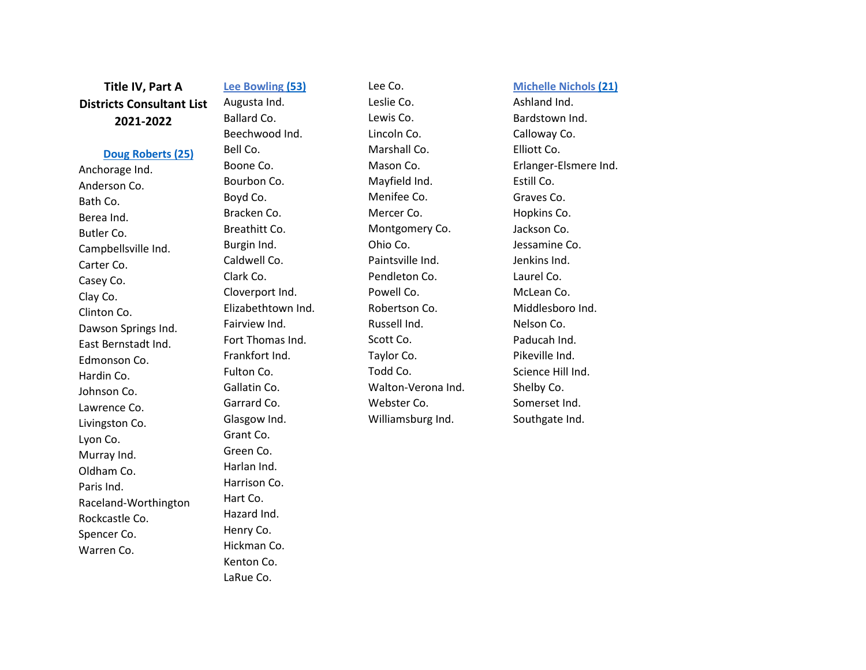**Title IV, Part A Districts Consultant List 20 2 1 -202 2**

## **[Doug Roberts](mailto:doug.roberts@education.ky.gov) (25 )**

Anchorage Ind. Anderson Co. Bath Co. Berea Ind. Butler Co. Campbellsville Ind. Carter Co. Casey Co. Clay Co. Clinton Co. Dawson Springs Ind. East Bernstadt Ind. Edmonson Co. Hardin Co. Johnson Co. Lawrence Co. Livingston Co. Lyon Co. Murray Ind. Oldham Co. Paris Ind. Raceland -Worthington Rockcastle Co. Spencer Co. Warren Co.

**Lee Bowling ( 5 3 )** Augusta Ind. Ballard Co. Beechwood Ind. Bell Co. Boone Co. Bourbon Co. Boyd Co. Bracken Co. Breathitt Co. Burgin Ind. Caldwell Co. Clark Co. Cloverport Ind. Elizabethtown Ind. Fairview Ind. Fort Thomas Ind. Frankfort Ind. Fulton Co. Gallatin Co. Garrard Co. Glasgow Ind. Grant Co. Green Co. Harlan Ind. Harrison Co. Hart Co. Hazard Ind. Henry Co. Hickman Co. Kenton Co. LaRue Co.

Lee Co. Leslie Co. Lewis Co. Lincoln Co. Marshall Co. Mason Co. Mayfield Ind. Menifee Co. Mercer Co. Montgomery Co. Ohio Co. Paintsville Ind. Pendleton Co. Powell Co. Robertson Co. Russell Ind. Scott Co. Taylor Co. Todd Co. Walton -Verona Ind. Webster Co. Williamsburg Ind.

**Michelle Nichols (21 )** Ashland Ind. Bardstown Ind. Calloway Co. Elliott Co. Erlanger -Elsmere Ind. Estill Co. Graves Co. Hopkins Co. Jackson Co. Jessamine Co. Jenkins Ind. Laurel Co. McLean Co. Middlesboro Ind. Nelson Co. Paducah Ind. Pikeville Ind. Science Hill Ind. Shelby Co. Somerset Ind. Southgate Ind.